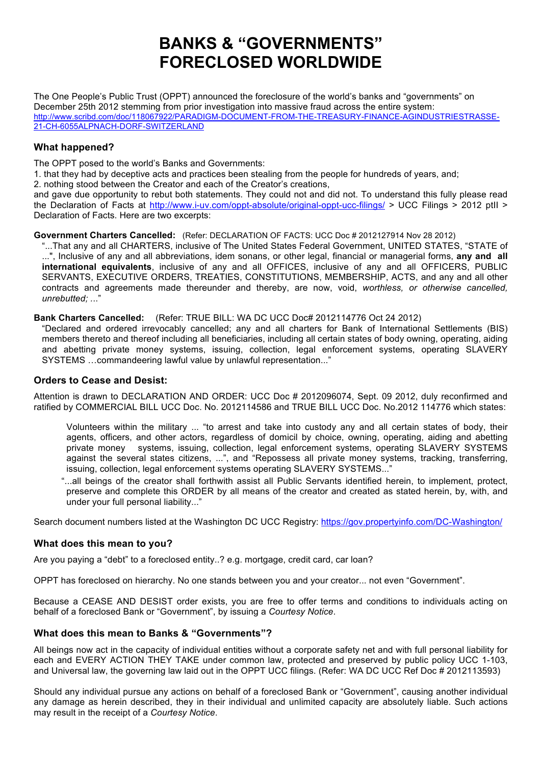# **BANKS & "GOVERNMENTS" FORECLOSED WORLDWIDE**

The One People's Public Trust (OPPT) announced the foreclosure of the world's banks and "governments" on December 25th 2012 stemming from prior investigation into massive fraud across the entire system: http://www.scribd.com/doc/118067922/PARADIGM-DOCUMENT-FROM-THE-TREASURY-FINANCE-AGINDUSTRIESTRASSE-21-CH-6055ALPNACH-DORF-SWITZERLAND

### **What happened?**

The OPPT posed to the world's Banks and Governments:

1. that they had by deceptive acts and practices been stealing from the people for hundreds of years, and;

2. nothing stood between the Creator and each of the Creator's creations,

and gave due opportunity to rebut both statements. They could not and did not. To understand this fully please read the Declaration of Facts at http://www.i-uv.com/oppt-absolute/original-oppt-ucc-filings/ > UCC Filings > 2012 ptII > Declaration of Facts. Here are two excerpts:

**Government Charters Cancelled:** (Refer: DECLARATION OF FACTS: UCC Doc # 2012127914 Nov 28 2012)

...That any and all CHARTERS, inclusive of The United States Federal Government, UNITED STATES, "STATE of ...", Inclusive of any and all abbreviations, idem sonans, or other legal, financial or managerial forms, **any and all international equivalents**, inclusive of any and all OFFICES, inclusive of any and all OFFICERS, PUBLIC SERVANTS, EXECUTIVE ORDERS, TREATIES, CONSTITUTIONS, MEMBERSHIP, ACTS, and any and all other contracts and agreements made thereunder and thereby, are now, void, *worthless, or otherwise cancelled, unrebutted; .*.."

**Bank Charters Cancelled:** (Refer: TRUE BILL: WA DC UCC Doc# 2012114776 Oct 24 2012)

"Declared and ordered irrevocably cancelled; any and all charters for Bank of International Settlements (BIS) members thereto and thereof including all beneficiaries, including all certain states of body owning, operating, aiding and abetting private money systems, issuing, collection, legal enforcement systems, operating SLAVERY SYSTEMS …commandeering lawful value by unlawful representation..."

## **Orders to Cease and Desist:**

Attention is drawn to DECLARATION AND ORDER: UCC Doc # 2012096074, Sept. 09 2012, duly reconfirmed and ratified by COMMERCIAL BILL UCC Doc. No. 2012114586 and TRUE BILL UCC Doc. No.2012 114776 which states:

- Volunteers within the military ... "to arrest and take into custody any and all certain states of body, their agents, officers, and other actors, regardless of domicil by choice, owning, operating, aiding and abetting private money systems, issuing, collection, legal enforcement systems, operating SLAVERY SYSTEMS against the several states citizens, ...", and "Repossess all private money systems, tracking, transferring, issuing, collection, legal enforcement systems operating SLAVERY SYSTEMS...
- "...all beings of the creator shall forthwith assist all Public Servants identified herein, to implement, protect, preserve and complete this ORDER by all means of the creator and created as stated herein, by, with, and under your full personal liability..."

Search document numbers listed at the Washington DC UCC Registry: https://gov.propertyinfo.com/DC-Washington/

#### **What does this mean to you?**

Are you paying a "debt" to a foreclosed entity..? e.g. mortgage, credit card, car loan?

OPPT has foreclosed on hierarchy. No one stands between you and your creator... not even "Government".

Because a CEASE AND DESIST order exists, you are free to offer terms and conditions to individuals acting on behalf of a foreclosed Bank or "Government", by issuing a *Courtesy Notice*.

#### **What does this mean to Banks & "Governments"?**

All beings now act in the capacity of individual entities without a corporate safety net and with full personal liability for each and EVERY ACTION THEY TAKE under common law, protected and preserved by public policy UCC 1-103, and Universal law, the governing law laid out in the OPPT UCC filings. (Refer: WA DC UCC Ref Doc # 2012113593)

Should any individual pursue any actions on behalf of a foreclosed Bank or "Government", causing another individual any damage as herein described, they in their individual and unlimited capacity are absolutely liable. Such actions may result in the receipt of a *Courtesy Notice*.